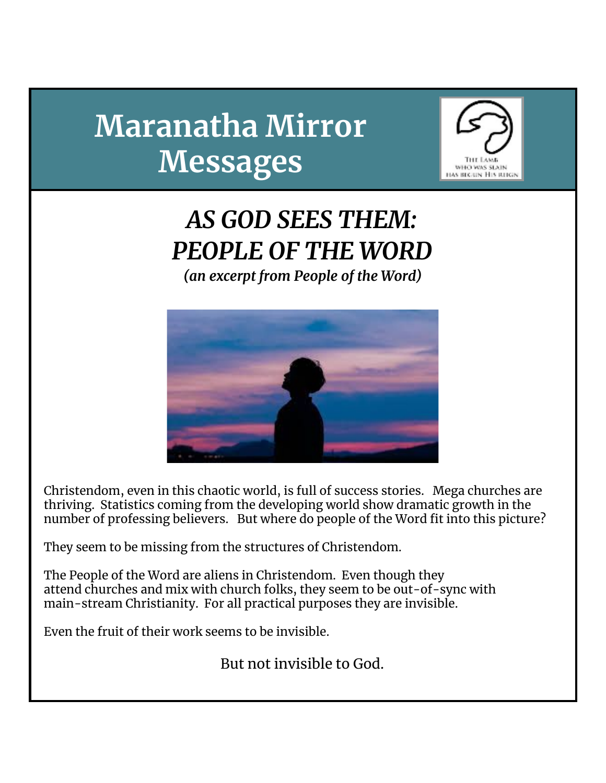# **Maranatha Mirror Messages**



## *AS GOD SEES THEM: PEOPLE OF THE WORD (an excerpt from People of the Word)*



Christendom, even in this chaotic world, is full of success stories. Mega churches are thriving. Statistics coming from the developing world show dramatic growth in the number of professing believers. But where do people of the Word fit into this picture?

They seem to be missing from the structures of Christendom.

The People of the Word are aliens in Christendom. Even though they attend churches and mix with church folks, they seem to be out-of-sync with main-stream Christianity. For all practical purposes they are invisible.

Even the fruit of their work seems to be invisible.

But not invisible to God.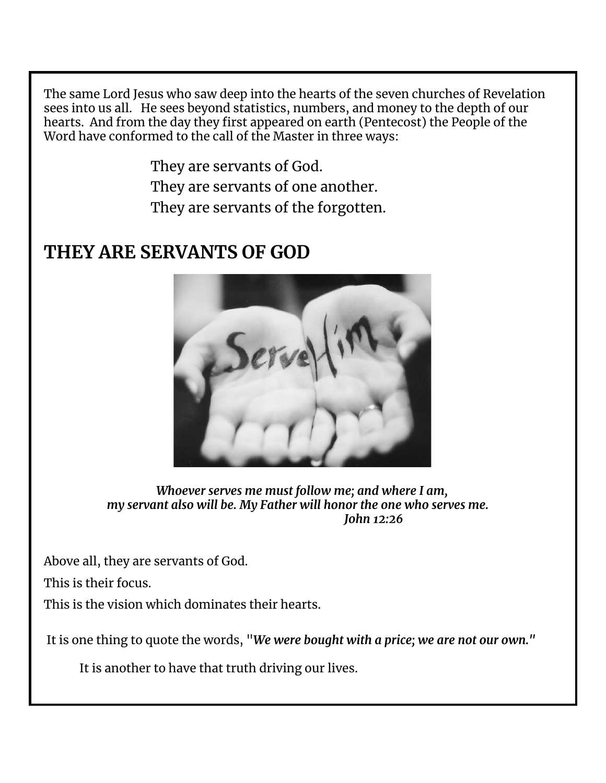The same Lord Jesus who saw deep into the hearts of the seven churches of Revelation sees into us all. He sees beyond statistics, numbers, and money to the depth of our hearts. And from the day they first appeared on earth (Pentecost) the People of the Word have conformed to the call of the Master in three ways:

> They are servants of God. They are servants of one another. They are servants of the forgotten.

#### **THEY ARE SERVANTS OF GOD**



*Whoever serves me must follow me; and where I am, my servant also will be. My Father will honor the one who serves me. John 12:26*

Above all, they are servants of God.

This is their focus.

This is the vision which dominates their hearts.

It is one thing to quote the words, "*We were bought with a price; we are not our own."*

It is another to have that truth driving our lives.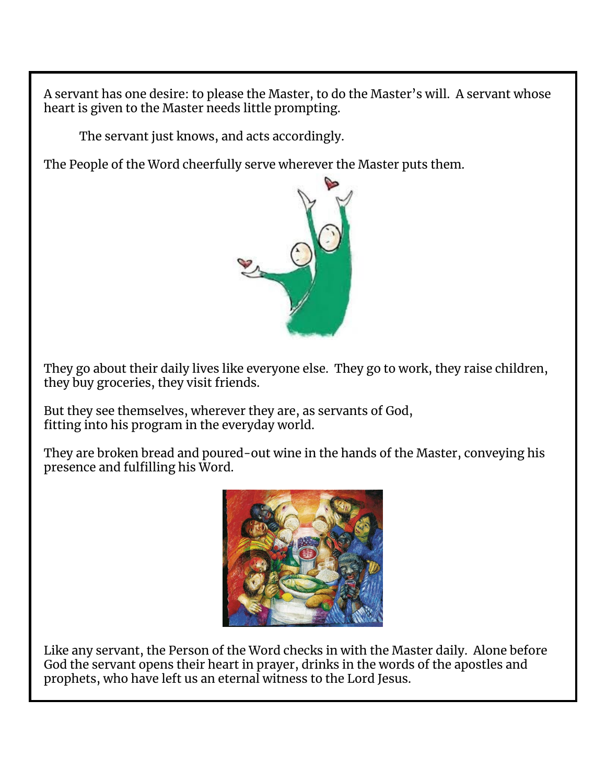A servant has one desire: to please the Master, to do the Master's will. A servant whose heart is given to the Master needs little prompting.

The servant just knows, and acts accordingly.

The People of the Word cheerfully serve wherever the Master puts them.



They go about their daily lives like everyone else. They go to work, they raise children, they buy groceries, they visit friends.

But they see themselves, wherever they are, as servants of God, fitting into his program in the everyday world.

They are broken bread and poured-out wine in the hands of the Master, conveying his presence and fulfilling his Word.



Like any servant, the Person of the Word checks in with the Master daily. Alone before God the servant opens their heart in prayer, drinks in the words of the apostles and prophets, who have left us an eternal witness to the Lord Jesus.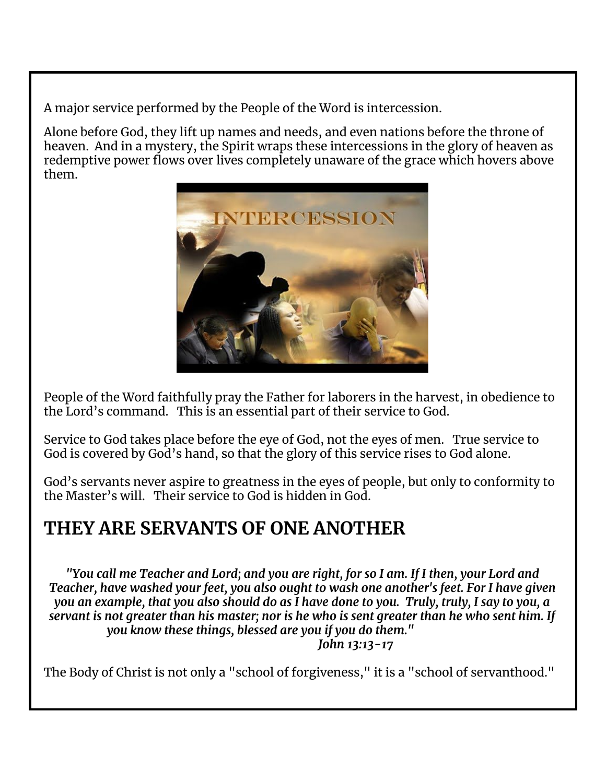A major service performed by the People of the Word is intercession.

Alone before God, they lift up names and needs, and even nations before the throne of heaven. And in a mystery, the Spirit wraps these intercessions in the glory of heaven as redemptive power flows over lives completely unaware of the grace which hovers above them.



People of the Word faithfully pray the Father for laborers in the harvest, in obedience to the Lord's command. This is an essential part of their service to God.

Service to God takes place before the eye of God, not the eyes of men. True service to God is covered by God's hand, so that the glory of this service rises to God alone.

God's servants never aspire to greatness in the eyes of people, but only to conformity to the Master's will. Their service to God is hidden in God.

#### **THEY ARE SERVANTS OF ONE ANOTHER**

"You call me Teacher and Lord; and you are right, for so I am. If I then, your Lord and *Teacher, have washed your feet, you also ought to wash one another's feet. For I have given* you an example, that you also should do as I have done to you. Truly, truly, I say to you, a servant is not greater than his master; nor is he who is sent greater than he who sent him. If *you know these things, blessed are you if you do them." John 13:13-17*

The Body of Christ is not only a "school of forgiveness," it is a "school of servanthood."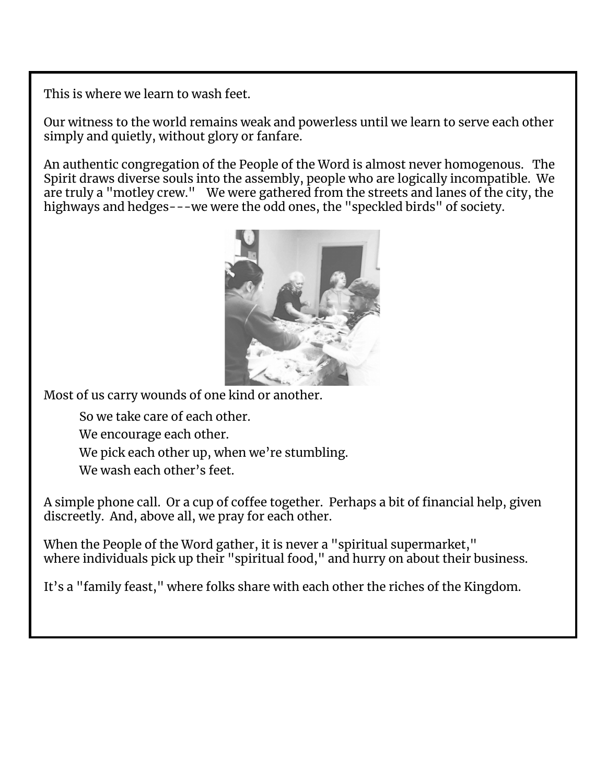This is where we learn to wash feet.

Our witness to the world remains weak and powerless until we learn to serve each other simply and quietly, without glory or fanfare.

An authentic congregation of the People of the Word is almost never homogenous. The Spirit draws diverse souls into the assembly, people who are logically incompatible. We are truly a "motley crew." We were gathered from the streets and lanes of the city, the highways and hedges---we were the odd ones, the "speckled birds" of society.



Most of us carry wounds of one kind or another.

So we take care of each other.

We encourage each other.

We pick each other up, when we're stumbling.

We wash each other's feet.

A simple phone call. Or a cup of coffee together. Perhaps a bit of financial help, given discreetly. And, above all, we pray for each other.

When the People of the Word gather, it is never a "spiritual supermarket," where individuals pick up their "spiritual food," and hurry on about their business.

It's a "family feast," where folks share with each other the riches of the Kingdom.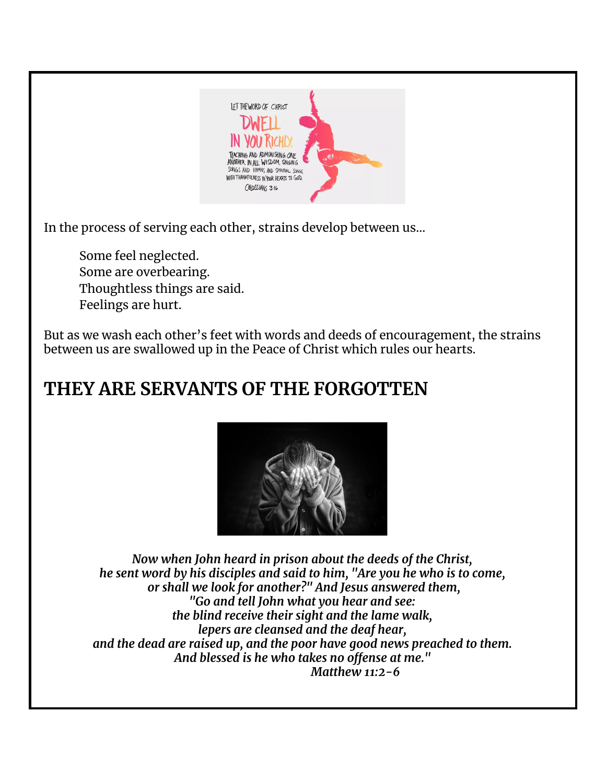

In the process of serving each other, strains develop between us…

Some feel neglected. Some are overbearing. Thoughtless things are said. Feelings are hurt.

But as we wash each other's feet with words and deeds of encouragement, the strains between us are swallowed up in the Peace of Christ which rules our hearts.

### **THEY ARE SERVANTS OF THE FORGOTTEN**



*Now when John heard in prison about the deeds of the Christ, he sent word by his disciples and said to him, "Are you he who is to come, or shall we look for another?" And Jesus answered them, "Go and tell John what you hear and see: the blind receive their sight and the lame walk, lepers are cleansed and the deaf hear, and the dead are raised up, and the poor have good news preached to them. And blessed is he who takes no offense at me." Matthew 11:2-6*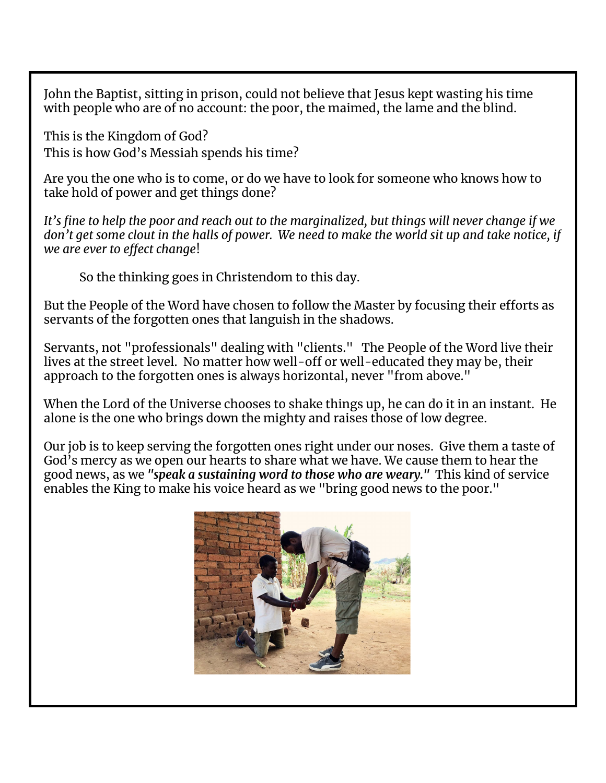John the Baptist, sitting in prison, could not believe that Jesus kept wasting his time with people who are of no account: the poor, the maimed, the lame and the blind.

This is the Kingdom of God? This is how God's Messiah spends his time?

Are you the one who is to come, or do we have to look for someone who knows how to take hold of power and get things done?

It's fine to help the poor and reach out to the marginalized, but things will never change if we don't get some clout in the halls of power. We need to make the world sit up and take notice, if *we are ever to effect change*!

So the thinking goes in Christendom to this day.

But the People of the Word have chosen to follow the Master by focusing their efforts as servants of the forgotten ones that languish in the shadows.

Servants, not "professionals" dealing with "clients." The People of the Word live their lives at the street level. No matter how well-off or well-educated they may be, their approach to the forgotten ones is always horizontal, never "from above."

When the Lord of the Universe chooses to shake things up, he can do it in an instant. He alone is the one who brings down the mighty and raises those of low degree.

Our job is to keep serving the forgotten ones right under our noses. Give them a taste of God's mercy as we open our hearts to share what we have. We cause them to hear the good news, as we *"speak a sustaining word to those who are weary."* This kind of service enables the King to make his voice heard as we "bring good news to the poor."